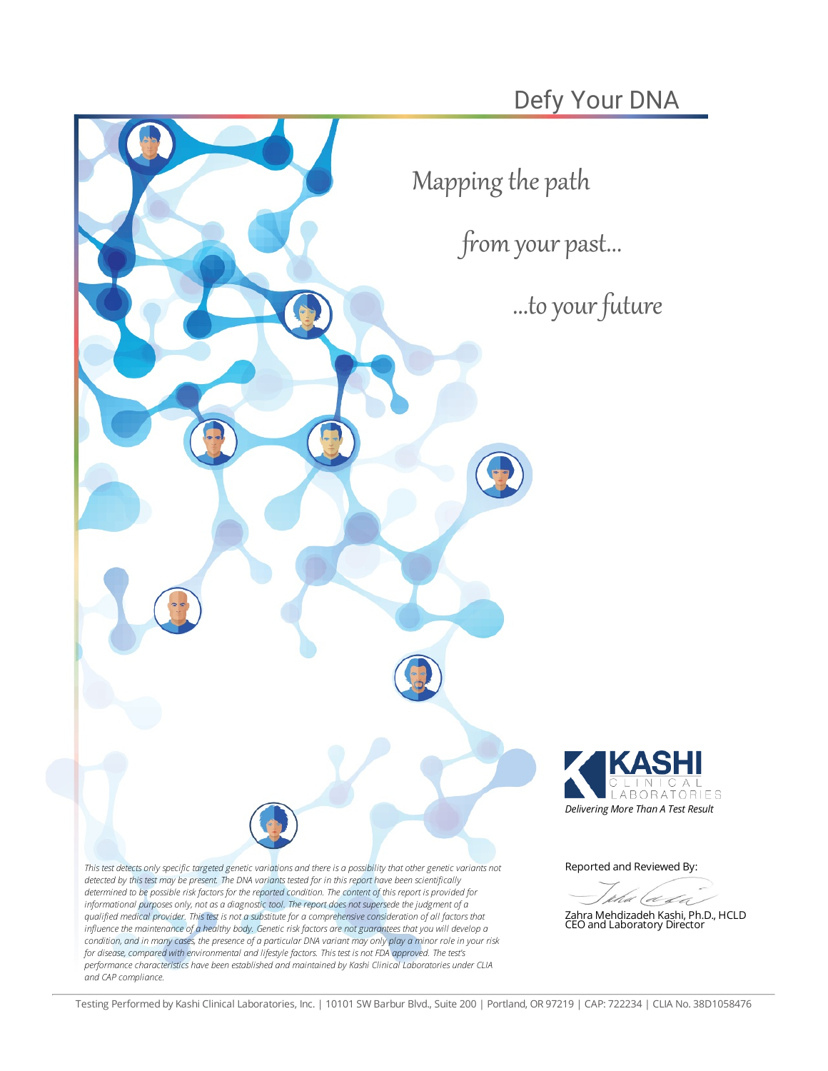

Zahra Mehdizadeh Kashi, Ph.D., HCLD<br>CEO and Laboratory Director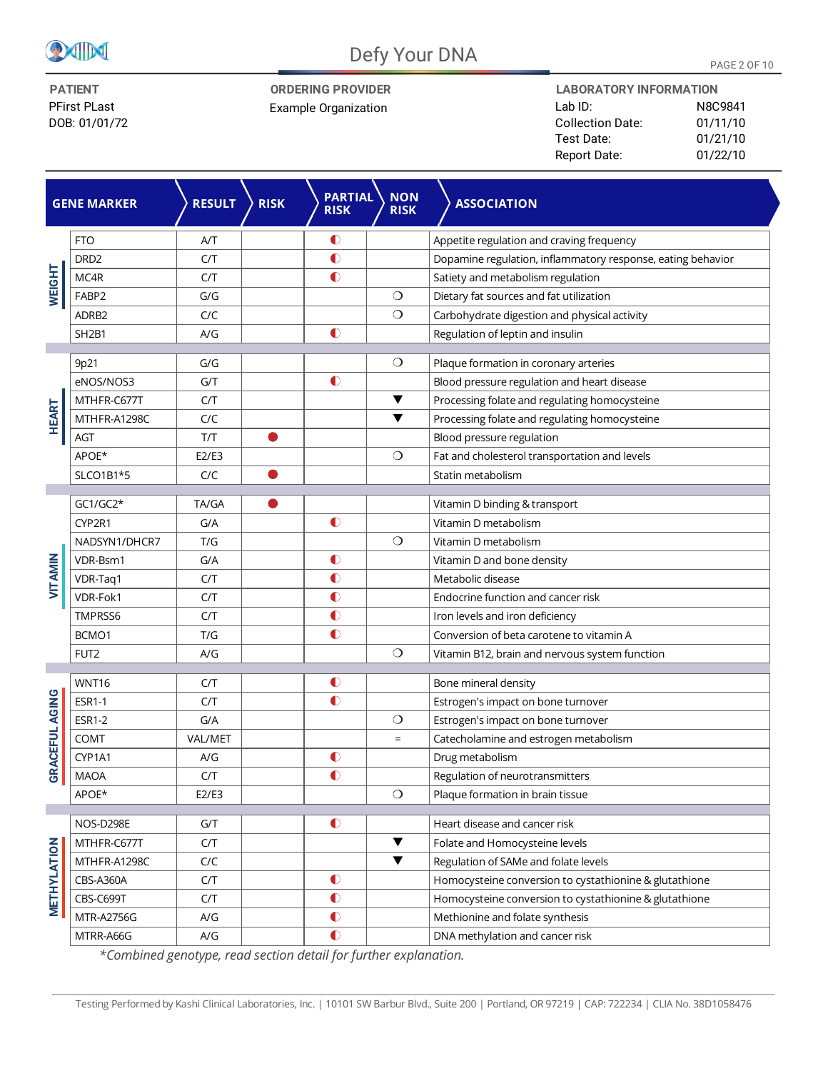

# Defy Your DNA

**PATIENT** PFirst PLast DOB: 01/01/72

**ORDERING PROVIDER** Example Organization

**LABORATORY INFORMATION N8C9841** Collection Date: 01/11/10 Test Date: 01/21/10<br>Report Date: 01/22/10 Report Date:

|                | <b>GENE MARKER</b>             | <b>RESULT</b> | <b>RISK</b> | <b>PARTIAL</b><br><b>RISK</b> | <b>NON</b><br><b>RISK</b>       | <b>ASSOCIATION</b>                                          |
|----------------|--------------------------------|---------------|-------------|-------------------------------|---------------------------------|-------------------------------------------------------------|
| <b>WEIGHT</b>  | <b>FTO</b>                     | A/T           |             | $\bullet$                     |                                 | Appetite regulation and craving frequency                   |
|                | DRD <sub>2</sub>               | C/T           |             | $\bullet$                     |                                 | Dopamine regulation, inflammatory response, eating behavior |
|                | MC4R                           | C/T           |             | $\bullet$                     |                                 | Satiety and metabolism regulation                           |
|                | FABP2                          | G/G           |             |                               | $\circ$                         | Dietary fat sources and fat utilization                     |
|                | ADRB2                          | C/C           |             |                               | $\circ$                         | Carbohydrate digestion and physical activity                |
|                | SH <sub>2</sub> B <sub>1</sub> | A/G           |             | $\bullet$                     |                                 | Regulation of leptin and insulin                            |
|                | 9p21                           | G/G           |             |                               | $\bigcirc$                      | Plaque formation in coronary arteries                       |
|                | eNOS/NOS3                      | G/T           |             | $\bullet$                     |                                 | Blood pressure regulation and heart disease                 |
|                | MTHFR-C677T                    | C/T           |             |                               | $\blacktriangledown$            | Processing folate and regulating homocysteine               |
| <b>HEART</b>   | MTHFR-A1298C                   | C/C           |             |                               | $\blacktriangledown$            | Processing folate and regulating homocysteine               |
|                | AGT                            | T/T           | O           |                               |                                 | Blood pressure regulation                                   |
|                | APOE*                          | E2/E3         |             |                               | $\circ$                         | Fat and cholesterol transportation and levels               |
|                | SLCO1B1*5                      | C/C           |             |                               |                                 | Statin metabolism                                           |
|                | $GC1/GC2*$                     | <b>TA/GA</b>  | ●           |                               |                                 | Vitamin D binding & transport                               |
|                | CYP2R1                         | G/A           |             | $\bullet$                     |                                 | Vitamin D metabolism                                        |
|                | NADSYN1/DHCR7                  | T/G           |             |                               | $\circ$                         | Vitamin D metabolism                                        |
|                | VDR-Bsm1                       | G/A           |             | $\bullet$                     |                                 | Vitamin D and bone density                                  |
| VITAMIN        | VDR-Taq1                       | C/T           |             | $\bullet$                     |                                 | Metabolic disease                                           |
|                | VDR-Fok1                       | C/T           |             | $\bullet$                     |                                 | Endocrine function and cancer risk                          |
|                | TMPRSS6                        | C/T           |             | $\bullet$                     |                                 | Iron levels and iron deficiency                             |
|                | BCMO1                          | T/G           |             | $\bullet$                     |                                 | Conversion of beta carotene to vitamin A                    |
|                | FUT2                           | A/G           |             |                               | $\circ$                         | Vitamin B12, brain and nervous system function              |
|                | WNT16                          | C/T           |             | $\bullet$                     |                                 | Bone mineral density                                        |
| GRACEFUL AGING | <b>ESR1-1</b>                  | C/T           |             | $\bullet$                     |                                 | Estrogen's impact on bone turnover                          |
|                | <b>ESR1-2</b>                  | G/A           |             |                               | $\circ$                         | Estrogen's impact on bone turnover                          |
|                | COMT                           | VAL/MET       |             |                               | $\equiv$                        | Catecholamine and estrogen metabolism                       |
|                | CYP1A1                         | A/G           |             | $\bullet$                     |                                 | Drug metabolism                                             |
|                | <b>MAOA</b>                    | C/T           |             | $\bullet$                     |                                 | Regulation of neurotransmitters                             |
|                | APOE*                          | E2/E3         |             |                               | $\circ$                         | Plaque formation in brain tissue                            |
| METHYLATION    | NOS-D298E                      | G/T           |             | $\bullet$                     |                                 | Heart disease and cancer risk                               |
|                | MTHFR-C677T                    | C/T           |             |                               | $\overline{\blacktriangledown}$ | Folate and Homocysteine levels                              |
|                | MTHFR-A1298C                   | C/C           |             |                               | $\blacktriangledown$            | Regulation of SAMe and folate levels                        |
|                | CBS-A360A                      | C/T           |             | $\bullet$                     |                                 | Homocysteine conversion to cystathionine & glutathione      |
|                | CBS-C699T                      | C/T           |             | $\bullet$                     |                                 | Homocysteine conversion to cystathionine & glutathione      |
|                | MTR-A2756G                     | A/G           |             | $\bullet$                     |                                 | Methionine and folate synthesis                             |
|                | MTRR-A66G                      | A/G           |             | $\overline{\mathbf{O}}$       |                                 | DNA methylation and cancer risk                             |

*\*Combined genotype, read section detail for furtherexplanation.*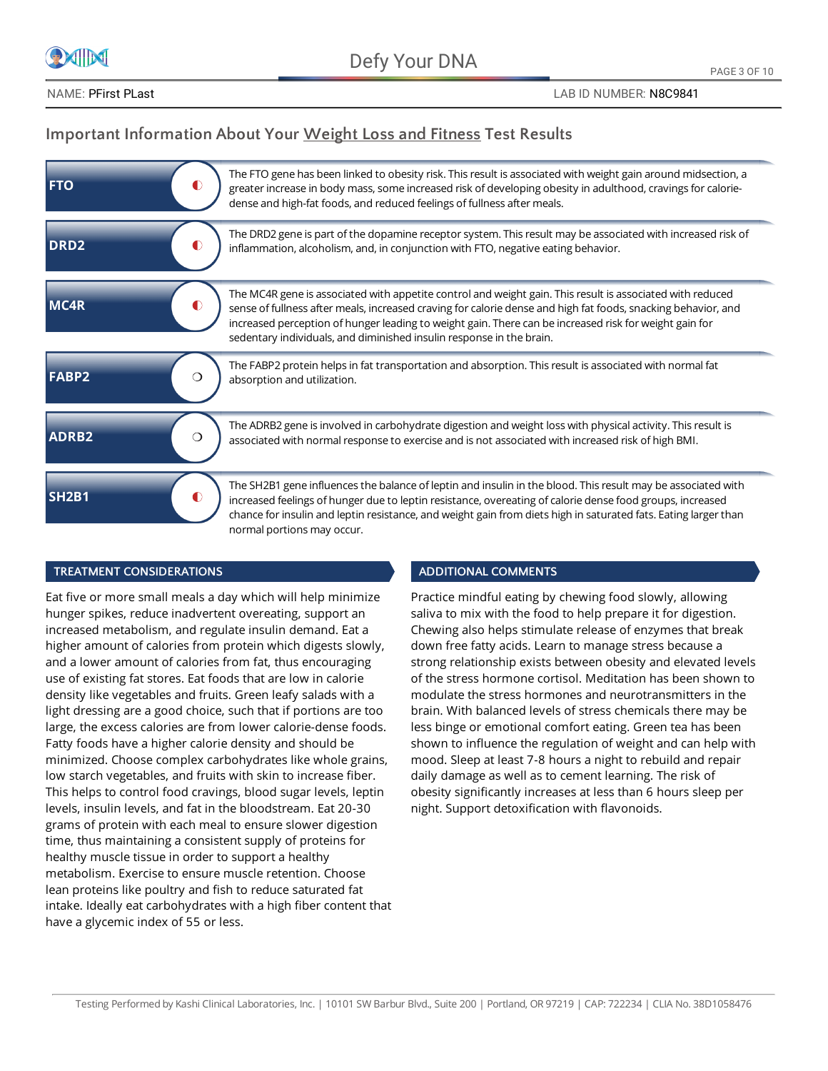

## **Important Information About Your Weight Loss and Fitness Test Results**

| <b>FTO</b>        | The FTO gene has been linked to obesity risk. This result is associated with weight gain around midsection, a<br>greater increase in body mass, some increased risk of developing obesity in adulthood, cravings for calorie-<br>dense and high-fat foods, and reduced feelings of fullness after meals.                                                                                                     |
|-------------------|--------------------------------------------------------------------------------------------------------------------------------------------------------------------------------------------------------------------------------------------------------------------------------------------------------------------------------------------------------------------------------------------------------------|
| DRD <sub>2</sub>  | The DRD2 gene is part of the dopamine receptor system. This result may be associated with increased risk of<br>inflammation, alcoholism, and, in conjunction with FTO, negative eating behavior.                                                                                                                                                                                                             |
| MC4R<br>$\bullet$ | The MC4R gene is associated with appetite control and weight gain. This result is associated with reduced<br>sense of fullness after meals, increased craving for calorie dense and high fat foods, snacking behavior, and<br>increased perception of hunger leading to weight gain. There can be increased risk for weight gain for<br>sedentary individuals, and diminished insulin response in the brain. |
| <b>FABP2</b>      | The FABP2 protein helps in fat transportation and absorption. This result is associated with normal fat<br>absorption and utilization.                                                                                                                                                                                                                                                                       |
| ADRB2             | The ADRB2 gene is involved in carbohydrate digestion and weight loss with physical activity. This result is<br>associated with normal response to exercise and is not associated with increased risk of high BMI.                                                                                                                                                                                            |
| <b>SH2B1</b><br>O | The SH2B1 gene influences the balance of leptin and insulin in the blood. This result may be associated with<br>increased feelings of hunger due to leptin resistance, overeating of calorie dense food groups, increased<br>chance for insulin and leptin resistance, and weight gain from diets high in saturated fats. Eating larger than<br>normal portions may occur.                                   |

## **TREATMENT CONSIDERATIONS ADDITIONAL COMMENTS**

Eat five or more small meals a day which will help minimize hunger spikes, reduce inadvertent overeating, support an increased metabolism, and regulate insulin demand. Eat a higher amount of calories from protein which digests slowly, and a lower amount of calories from fat, thus encouraging use of existing fat stores. Eat foods that are low in calorie density like vegetables and fruits. Green leafy salads with a light dressing are a good choice, such that if portions are too large, the excess calories are from lower calorie-dense foods. Fatty foods have a higher calorie density and should be minimized. Choose complex carbohydrates like whole grains, low starch vegetables, and fruits with skin to increase fiber. This helps to control food cravings, blood sugar levels, leptin levels, insulin levels, and fat in the bloodstream. Eat 20-30 grams of protein with each meal to ensure slower digestion time, thus maintaining a consistent supply of proteins for healthy muscle tissue in order to support a healthy metabolism. Exercise to ensure muscle retention. Choose lean proteins like poultry and fish to reduce saturated fat intake. Ideally eat carbohydrates with a high fiber content that have a glycemic index of 55 or less.

Practice mindful eating by chewing food slowly, allowing saliva to mix with the food to help prepare it for digestion. Chewing also helps stimulate release of enzymes that break down free fatty acids. Learn to manage stress because a strong relationship exists between obesity and elevated levels of the stress hormone cortisol. Meditation has been shown to modulate the stress hormones and neurotransmitters in the brain. With balanced levels of stress chemicals there may be less binge or emotional comfort eating. Green tea has been shown to influence the regulation of weight and can help with mood. Sleep at least 7-8 hours a night to rebuild and repair daily damage as well as to cement learning. The risk of obesity significantly increases at less than 6 hours sleep per night. Support detoxification with flavonoids.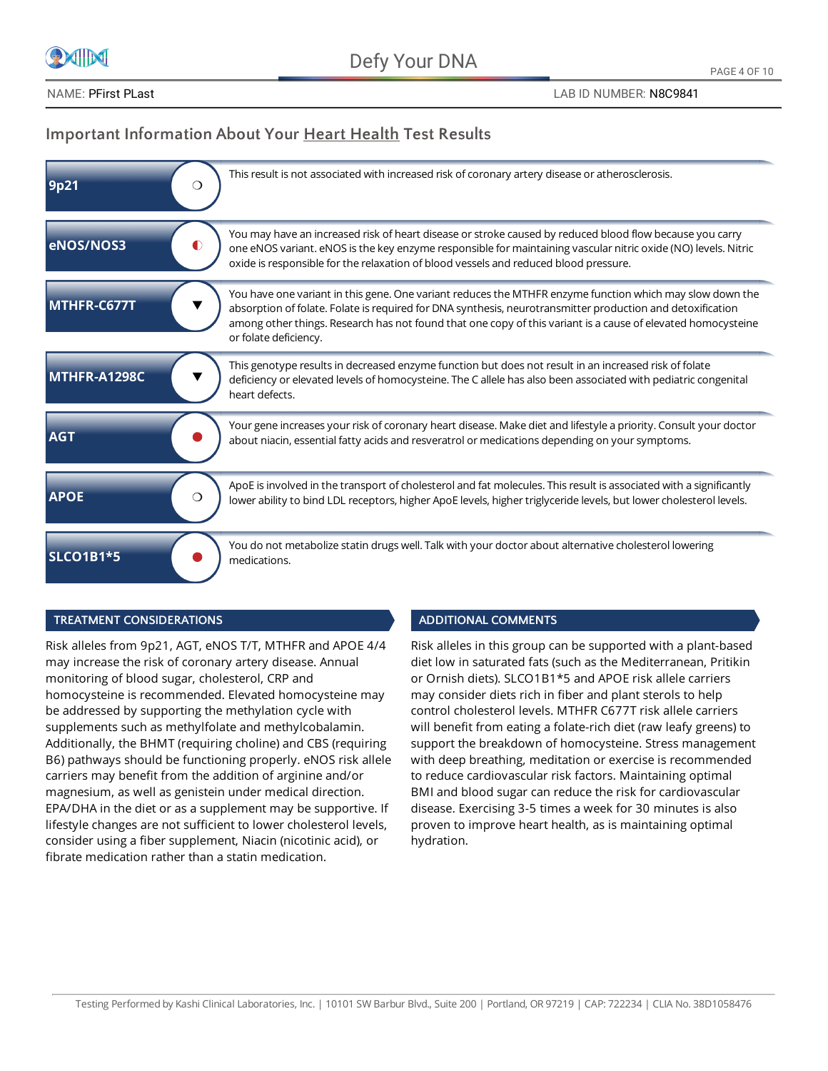

# **Important Information About Your Heart Health Test Results**

| <b>9p21</b><br>⊖ | This result is not associated with increased risk of coronary artery disease or atherosclerosis.                                                                                                                                                                                                                                                                |
|------------------|-----------------------------------------------------------------------------------------------------------------------------------------------------------------------------------------------------------------------------------------------------------------------------------------------------------------------------------------------------------------|
| eNOS/NOS3        | You may have an increased risk of heart disease or stroke caused by reduced blood flow because you carry<br>one eNOS variant. eNOS is the key enzyme responsible for maintaining vascular nitric oxide (NO) levels. Nitric<br>oxide is responsible for the relaxation of blood vessels and reduced blood pressure.                                              |
| MTHFR-C677T      | You have one variant in this gene. One variant reduces the MTHFR enzyme function which may slow down the<br>absorption of folate. Folate is required for DNA synthesis, neurotransmitter production and detoxification<br>among other things. Research has not found that one copy of this variant is a cause of elevated homocysteine<br>or folate deficiency. |
| MTHFR-A1298C     | This genotype results in decreased enzyme function but does not result in an increased risk of folate<br>deficiency or elevated levels of homocysteine. The C allele has also been associated with pediatric congenital<br>heart defects.                                                                                                                       |
| <b>AGT</b>       | Your gene increases your risk of coronary heart disease. Make diet and lifestyle a priority. Consult your doctor<br>about niacin, essential fatty acids and resveratrol or medications depending on your symptoms.                                                                                                                                              |
| <b>APOE</b>      | ApoE is involved in the transport of cholesterol and fat molecules. This result is associated with a significantly<br>lower ability to bind LDL receptors, higher ApoE levels, higher triglyceride levels, but lower cholesterol levels.                                                                                                                        |
| <b>SLCO1B1*5</b> | You do not metabolize statin drugs well. Talk with your doctor about alternative cholesterol lowering<br>medications.                                                                                                                                                                                                                                           |

## **TREATMENT CONSIDERATIONS ADDITIONAL COMMENTS**

Risk alleles from 9p21, AGT, eNOS T/T, MTHFR and APOE 4/4 may increase the risk of coronary artery disease. Annual monitoring of blood sugar, cholesterol, CRP and homocysteine is recommended. Elevated homocysteine may be addressed by supporting the methylation cycle with supplements such as methylfolate and methylcobalamin. Additionally, the BHMT (requiring choline) and CBS (requiring B6) pathways should be functioning properly. eNOS risk allele carriers may benefit from the addition of arginine and/or magnesium, as well as genistein under medical direction. EPA/DHA in the diet or as a supplement may be supportive. If lifestyle changes are not sufficient to lower cholesterol levels, consider using a fiber supplement, Niacin (nicotinic acid), or fibrate medication rather than a statin medication.

Risk alleles in this group can be supported with a plant-based diet low in saturated fats (such as the Mediterranean, Pritikin or Ornish diets). SLCO1B1\*5 and APOE risk allele carriers may consider diets rich in fiber and plant sterols to help control cholesterol levels. MTHFR C677T risk allele carriers will benefit from eating a folate-rich diet (raw leafy greens) to support the breakdown of homocysteine. Stress management with deep breathing, meditation or exercise is recommended to reduce cardiovascular risk factors. Maintaining optimal BMI and blood sugar can reduce the risk for cardiovascular disease. Exercising 3-5 times a week for 30 minutes is also proven to improve heart health, as is maintaining optimal hydration.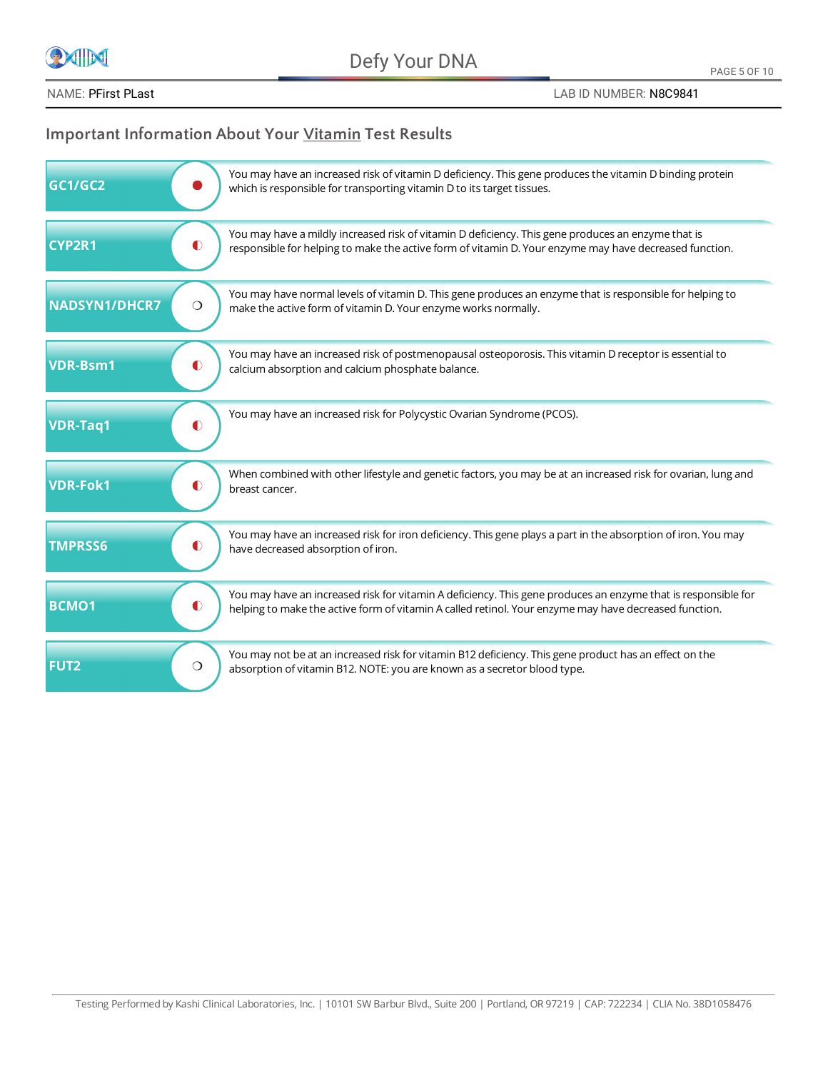

# **Important Information About Your Vitamin Test Results**

| GC1/GC2                      | You may have an increased risk of vitamin D deficiency. This gene produces the vitamin D binding protein<br>which is responsible for transporting vitamin D to its target tissues. |
|------------------------------|------------------------------------------------------------------------------------------------------------------------------------------------------------------------------------|
| <b>CYP2R1</b>                | You may have a mildly increased risk of vitamin D deficiency. This gene produces an enzyme that is                                                                                 |
| $\bullet$                    | responsible for helping to make the active form of vitamin D. Your enzyme may have decreased function.                                                                             |
| NADSYN1/DHCR7                | You may have normal levels of vitamin D. This gene produces an enzyme that is responsible for helping to                                                                           |
| $\circ$                      | make the active form of vitamin D. Your enzyme works normally.                                                                                                                     |
| <b>VDR-Bsm1</b>              | You may have an increased risk of postmenopausal osteoporosis. This vitamin D receptor is essential to                                                                             |
| $\bullet$                    | calcium absorption and calcium phosphate balance.                                                                                                                                  |
| $\bullet$<br><b>VDR-Taq1</b> | You may have an increased risk for Polycystic Ovarian Syndrome (PCOS).                                                                                                             |
| <b>VDR-Fok1</b>              | When combined with other lifestyle and genetic factors, you may be at an increased risk for ovarian, lung and                                                                      |
| $\bullet$                    | breast cancer.                                                                                                                                                                     |
| <b>TMPRSS6</b>               | You may have an increased risk for iron deficiency. This gene plays a part in the absorption of iron. You may                                                                      |
| $\bullet$                    | have decreased absorption of iron.                                                                                                                                                 |
| <b>BCMO1</b>                 | You may have an increased risk for vitamin A deficiency. This gene produces an enzyme that is responsible for                                                                      |
| $\bullet$                    | helping to make the active form of vitamin A called retinol. Your enzyme may have decreased function.                                                                              |
| <b>FUT2</b>                  | You may not be at an increased risk for vitamin B12 deficiency. This gene product has an effect on the                                                                             |
| Ο.                           | absorption of vitamin B12. NOTE: you are known as a secretor blood type.                                                                                                           |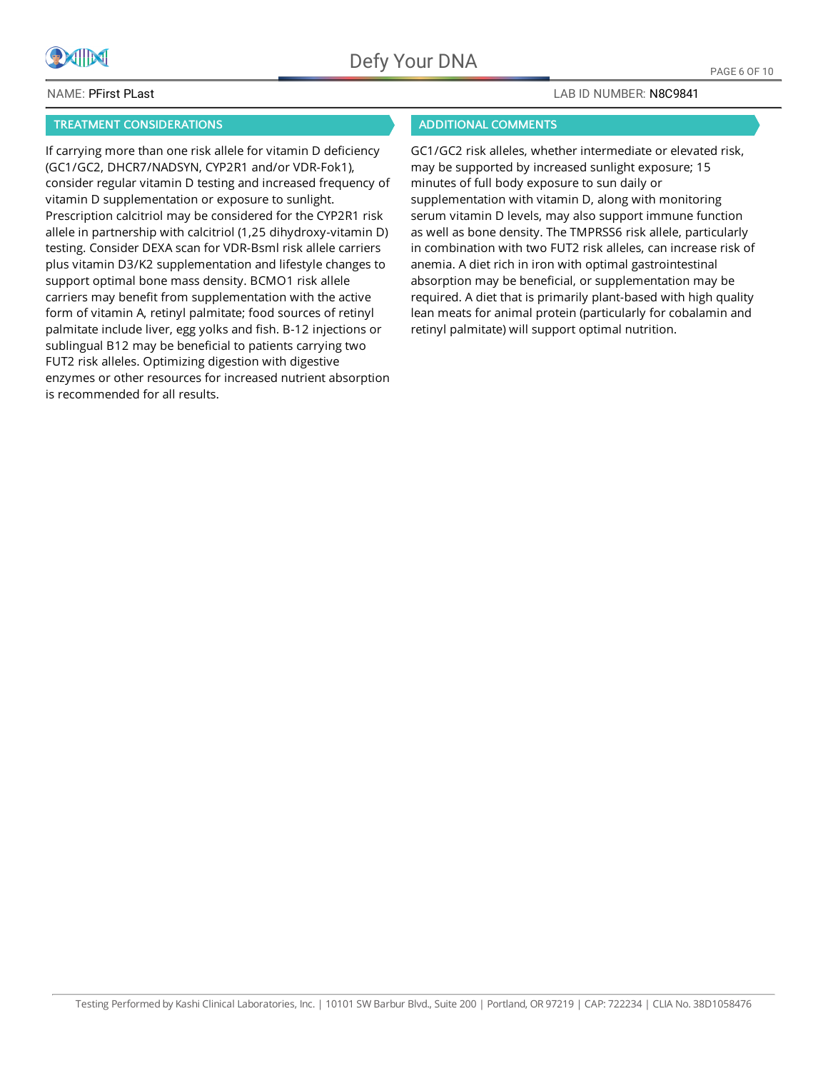

### **TREATMENT CONSIDERATIONS ADDITIONAL COMMENTS**

If carrying more than one risk allele for vitamin D deficiency (GC1/GC2, DHCR7/NADSYN, CYP2R1 and/or VDR-Fok1), consider regular vitamin D testing and increased frequency of vitamin D supplementation or exposure to sunlight. Prescription calcitriol may be considered for the CYP2R1 risk allele in partnership with calcitriol (1,25 dihydroxy-vitamin D) testing. Consider DEXA scan for VDR-Bsml risk allele carriers plus vitamin D3/K2 supplementation and lifestyle changes to support optimal bone mass density. BCMO1 risk allele carriers may benefit from supplementation with the active form of vitamin A, retinyl palmitate; food sources of retinyl palmitate include liver, egg yolks and fish. B-12 injections or sublingual B12 may be beneficial to patients carrying two FUT2 risk alleles. Optimizing digestion with digestive enzymes or other resources for increased nutrient absorption is recommended for all results.

### NAME: PFirst PLast LAB ID NUMBER: N8C9841

GC1/GC2 risk alleles, whether intermediate or elevated risk, may be supported by increased sunlight exposure; 15 minutes of full body exposure to sun daily or supplementation with vitamin D, along with monitoring serum vitamin D levels, may also support immune function as well as bone density. The TMPRSS6 risk allele, particularly in combination with two FUT2 risk alleles, can increase risk of anemia. A diet rich in iron with optimal gastrointestinal absorption may be beneficial, or supplementation may be required. A diet that is primarily plant-based with high quality lean meats for animal protein (particularly for cobalamin and retinyl palmitate) will support optimal nutrition.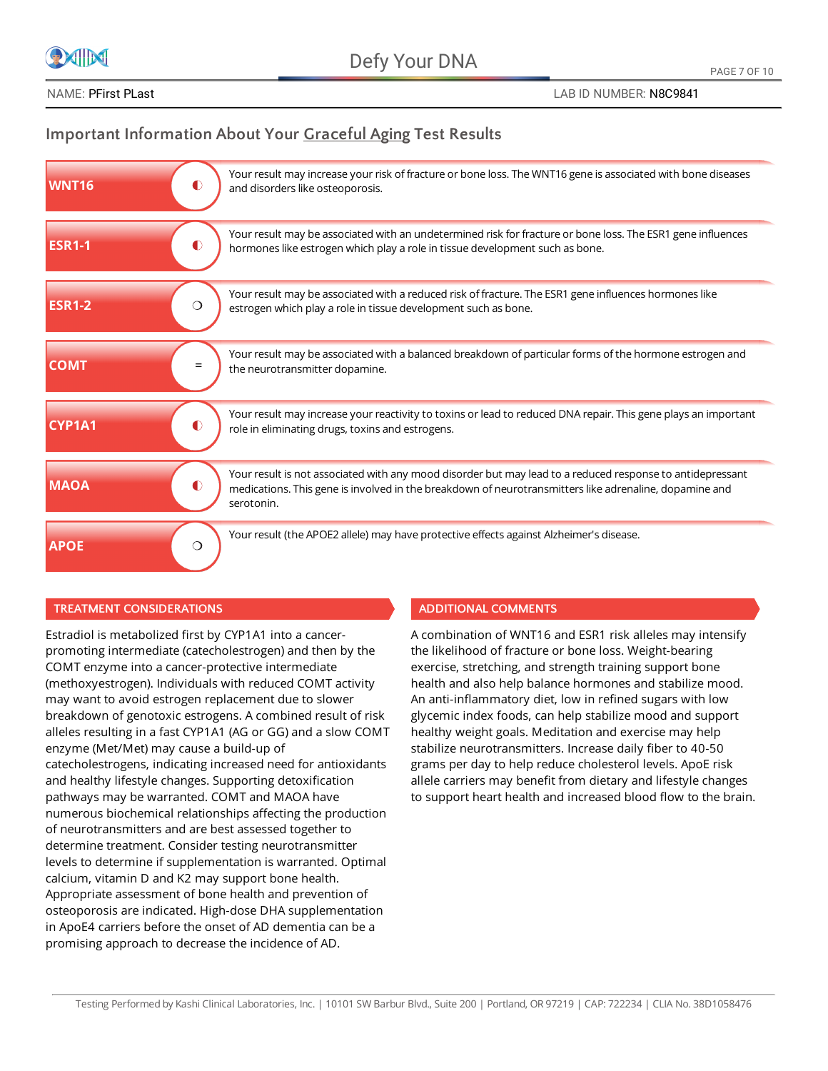

## **Important Information About Your Graceful Aging Test Results**

| <b>WNT16</b>             | Your result may increase your risk of fracture or bone loss. The WNT16 gene is associated with bone diseases                                                                                                                      |
|--------------------------|-----------------------------------------------------------------------------------------------------------------------------------------------------------------------------------------------------------------------------------|
| $\bullet$                | and disorders like osteoporosis.                                                                                                                                                                                                  |
| <b>ESR1-1</b>            | Your result may be associated with an undetermined risk for fracture or bone loss. The ESR1 gene influences                                                                                                                       |
| O                        | hormones like estrogen which play a role in tissue development such as bone.                                                                                                                                                      |
| <b>ESR1-2</b>            | Your result may be associated with a reduced risk of fracture. The ESR1 gene influences hormones like                                                                                                                             |
| O                        | estrogen which play a role in tissue development such as bone.                                                                                                                                                                    |
| <b>COMT</b>              | Your result may be associated with a balanced breakdown of particular forms of the hormone estrogen and                                                                                                                           |
| $=$                      | the neurotransmitter dopamine.                                                                                                                                                                                                    |
| CYP1A1                   | Your result may increase your reactivity to toxins or lead to reduced DNA repair. This gene plays an important                                                                                                                    |
| O)                       | role in eliminating drugs, toxins and estrogens.                                                                                                                                                                                  |
| <b>MAOA</b><br>$\bullet$ | Your result is not associated with any mood disorder but may lead to a reduced response to antidepressant<br>medications. This gene is involved in the breakdown of neurotransmitters like adrenaline, dopamine and<br>serotonin. |
| <b>APOE</b><br>O         | Your result (the APOE2 allele) may have protective effects against Alzheimer's disease.                                                                                                                                           |

## **TREATMENT CONSIDERATIONS ADDITIONAL COMMENTS**

Estradiol is metabolized first by CYP1A1 into a cancerpromoting intermediate (catecholestrogen) and then by the COMT enzyme into a cancer-protective intermediate (methoxyestrogen). Individuals with reduced COMT activity may want to avoid estrogen replacement due to slower breakdown of genotoxic estrogens. A combined result of risk alleles resulting in a fast CYP1A1 (AG or GG) and a slow COMT enzyme (Met/Met) may cause a build-up of catecholestrogens, indicating increased need for antioxidants and healthy lifestyle changes. Supporting detoxification pathways may be warranted. COMT and MAOA have numerous biochemical relationships affecting the production of neurotransmitters and are best assessed together to determine treatment. Consider testing neurotransmitter levels to determine if supplementation is warranted. Optimal calcium, vitamin D and K2 may support bone health. Appropriate assessment of bone health and prevention of osteoporosis are indicated. High-dose DHA supplementation in ApoE4 carriers before the onset of AD dementia can be a promising approach to decrease the incidence of AD.

A combination of WNT16 and ESR1 risk alleles may intensify the likelihood of fracture or bone loss. Weight-bearing exercise, stretching, and strength training support bone health and also help balance hormones and stabilize mood. An anti-inflammatory diet, low in refined sugars with low glycemic index foods, can help stabilize mood and support healthy weight goals. Meditation and exercise may help stabilize neurotransmitters. Increase daily fiber to 40-50 grams per day to help reduce cholesterol levels. ApoE risk allele carriers may benefit from dietary and lifestyle changes to support heart health and increased blood flow to the brain.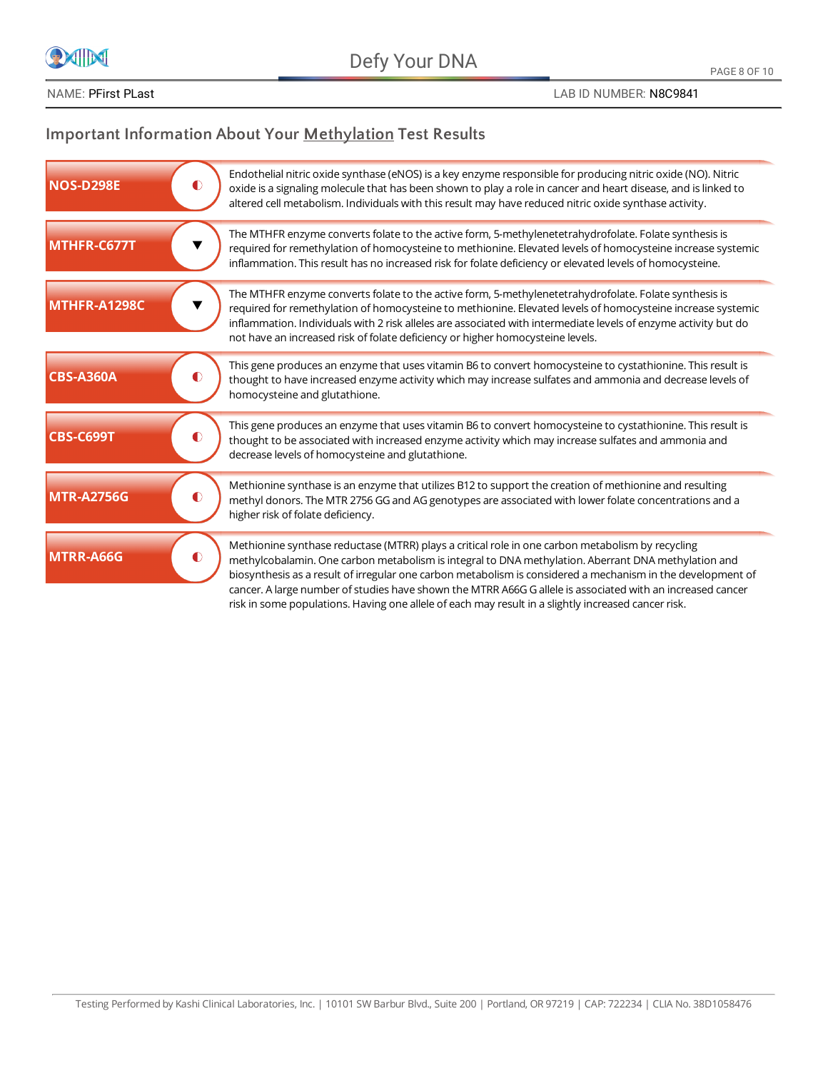

# **Important Information About Your Methylation Test Results**

| <b>NOS-D298E</b>  | Endothelial nitric oxide synthase (eNOS) is a key enzyme responsible for producing nitric oxide (NO). Nitric<br>$\bullet$<br>oxide is a signaling molecule that has been shown to play a role in cancer and heart disease, and is linked to                                                                                                                                                                                                                                                                                                              |
|-------------------|----------------------------------------------------------------------------------------------------------------------------------------------------------------------------------------------------------------------------------------------------------------------------------------------------------------------------------------------------------------------------------------------------------------------------------------------------------------------------------------------------------------------------------------------------------|
| MTHFR-C677T       | altered cell metabolism. Individuals with this result may have reduced nitric oxide synthase activity.<br>The MTHFR enzyme converts folate to the active form, 5-methylenetetrahydrofolate. Folate synthesis is<br>required for remethylation of homocysteine to methionine. Elevated levels of homocysteine increase systemic<br>inflammation. This result has no increased risk for folate deficiency or elevated levels of homocysteine.                                                                                                              |
| MTHFR-A1298C      | The MTHFR enzyme converts folate to the active form, 5-methylenetetrahydrofolate. Folate synthesis is<br>required for remethylation of homocysteine to methionine. Elevated levels of homocysteine increase systemic<br>inflammation. Individuals with 2 risk alleles are associated with intermediate levels of enzyme activity but do<br>not have an increased risk of folate deficiency or higher homocysteine levels.                                                                                                                                |
| <b>CBS-A360A</b>  | This gene produces an enzyme that uses vitamin B6 to convert homocysteine to cystathionine. This result is<br>thought to have increased enzyme activity which may increase sulfates and ammonia and decrease levels of<br>homocysteine and glutathione.                                                                                                                                                                                                                                                                                                  |
| <b>CBS-C699T</b>  | This gene produces an enzyme that uses vitamin B6 to convert homocysteine to cystathionine. This result is<br>O<br>thought to be associated with increased enzyme activity which may increase sulfates and ammonia and<br>decrease levels of homocysteine and glutathione.                                                                                                                                                                                                                                                                               |
| <b>MTR-A2756G</b> | Methionine synthase is an enzyme that utilizes B12 to support the creation of methionine and resulting<br>O<br>methyl donors. The MTR 2756 GG and AG genotypes are associated with lower folate concentrations and a<br>higher risk of folate deficiency.                                                                                                                                                                                                                                                                                                |
| <b>MTRR-A66G</b>  | Methionine synthase reductase (MTRR) plays a critical role in one carbon metabolism by recycling<br>$\bullet$<br>methylcobalamin. One carbon metabolism is integral to DNA methylation. Aberrant DNA methylation and<br>biosynthesis as a result of irregular one carbon metabolism is considered a mechanism in the development of<br>cancer. A large number of studies have shown the MTRR A66G G allele is associated with an increased cancer<br>risk in some populations. Having one allele of each may result in a slightly increased cancer risk. |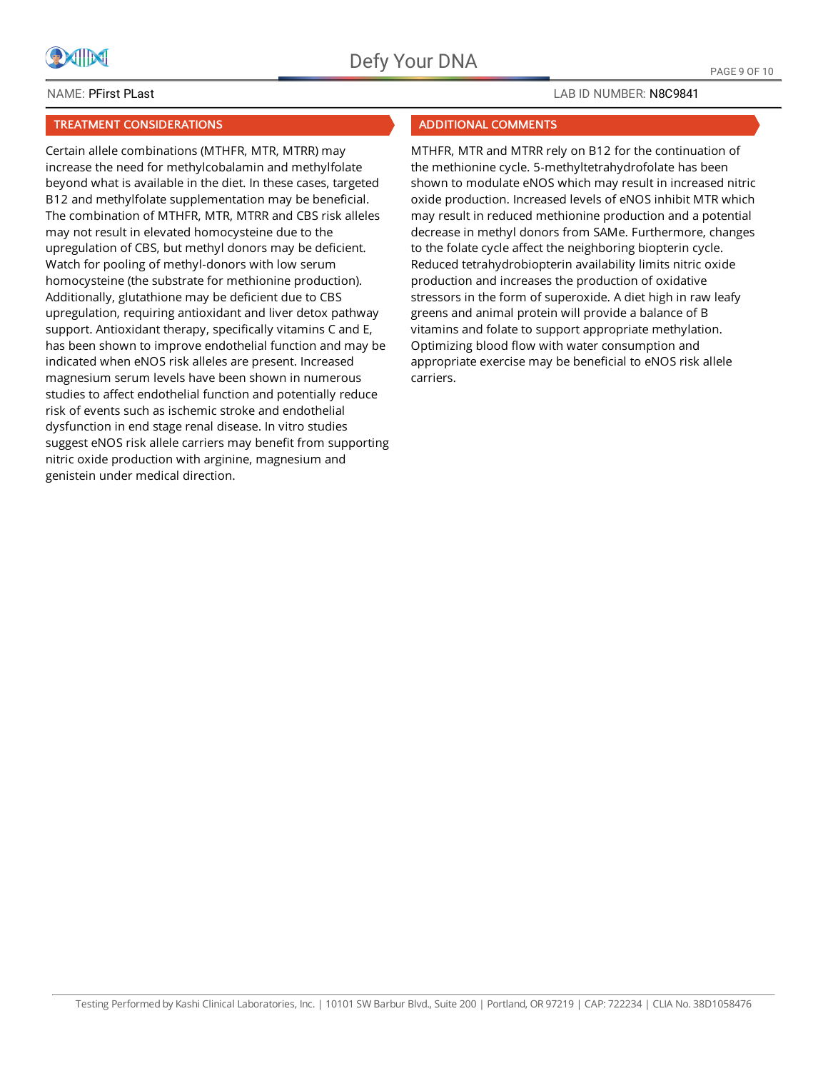

## **TREATMENT CONSIDERATIONS ADDITIONAL COMMENTS**

Certain allele combinations (MTHFR, MTR, MTRR) may increase the need for methylcobalamin and methylfolate beyond what is available in the diet. In these cases, targeted B12 and methylfolate supplementation may be beneficial. The combination of MTHFR, MTR, MTRR and CBS risk alleles may not result in elevated homocysteine due to the upregulation of CBS, but methyl donors may be deficient. Watch for pooling of methyl-donors with low serum homocysteine (the substrate for methionine production). Additionally, glutathione may be deficient due to CBS upregulation, requiring antioxidant and liver detox pathway support. Antioxidant therapy, specifically vitamins C and E, has been shown to improve endothelial function and may be indicated when eNOS risk alleles are present. Increased magnesium serum levels have been shown in numerous studies to affect endothelial function and potentially reduce risk of events such as ischemic stroke and endothelial dysfunction in end stage renal disease. In vitro studies suggest eNOS risk allele carriers may benefit from supporting nitric oxide production with arginine, magnesium and genistein under medical direction.

## NAME: PFirst PLast LAB ID NUMBER: N8C9841

MTHFR, MTR and MTRR rely on B12 for the continuation of the methionine cycle. 5-methyltetrahydrofolate has been shown to modulate eNOS which may result in increased nitric oxide production. Increased levels of eNOS inhibit MTR which may result in reduced methionine production and a potential decrease in methyl donors from SAMe. Furthermore, changes to the folate cycle affect the neighboring biopterin cycle. Reduced tetrahydrobiopterin availability limits nitric oxide production and increases the production of oxidative stressors in the form of superoxide. A diet high in raw leafy greens and animal protein will provide a balance of B vitamins and folate to support appropriate methylation. Optimizing blood flow with water consumption and appropriate exercise may be beneficial to eNOS risk allele carriers.